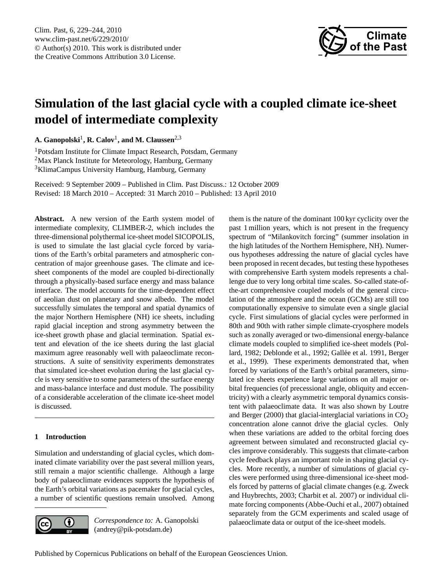

# <span id="page-0-0"></span>**Simulation of the last glacial cycle with a coupled climate ice-sheet model of intermediate complexity**

**A. Ganopolski**<sup>1</sup> **, R. Calov**<sup>1</sup> **, and M. Claussen**2,3

<sup>1</sup>Potsdam Institute for Climate Impact Research, Potsdam, Germany <sup>2</sup>Max Planck Institute for Meteorology, Hamburg, Germany <sup>3</sup>KlimaCampus University Hamburg, Hamburg, Germany

Received: 9 September 2009 – Published in Clim. Past Discuss.: 12 October 2009 Revised: 18 March 2010 – Accepted: 31 March 2010 – Published: 13 April 2010

**Abstract.** A new version of the Earth system model of intermediate complexity, CLIMBER-2, which includes the three-dimensional polythermal ice-sheet model SICOPOLIS, is used to simulate the last glacial cycle forced by variations of the Earth's orbital parameters and atmospheric concentration of major greenhouse gases. The climate and icesheet components of the model are coupled bi-directionally through a physically-based surface energy and mass balance interface. The model accounts for the time-dependent effect of aeolian dust on planetary and snow albedo. The model successfully simulates the temporal and spatial dynamics of the major Northern Hemisphere (NH) ice sheets, including rapid glacial inception and strong asymmetry between the ice-sheet growth phase and glacial termination. Spatial extent and elevation of the ice sheets during the last glacial maximum agree reasonably well with palaeoclimate reconstructions. A suite of sensitivity experiments demonstrates that simulated ice-sheet evolution during the last glacial cycle is very sensitive to some parameters of the surface energy and mass-balance interface and dust module. The possibility of a considerable acceleration of the climate ice-sheet model is discussed.

## **1 Introduction**

Simulation and understanding of glacial cycles, which dominated climate variability over the past several million years, still remain a major scientific challenge. Although a large body of palaeoclimate evidences supports the hypothesis of the Earth's orbital variations as pacemaker for glacial cycles, a number of scientific questions remain unsolved. Among



*Correspondence to:* A. Ganopolski (andrey@pik-potsdam.de)

them is the nature of the dominant 100 kyr cyclicity over the past 1 million years, which is not present in the frequency spectrum of "Milankovitch forcing" (summer insolation in the high latitudes of the Northern Hemisphere, NH). Numerous hypotheses addressing the nature of glacial cycles have been proposed in recent decades, but testing these hypotheses with comprehensive Earth system models represents a challenge due to very long orbital time scales. So-called state-ofthe-art comprehensive coupled models of the general circulation of the atmosphere and the ocean (GCMs) are still too computationally expensive to simulate even a single glacial cycle. First simulations of glacial cycles were performed in 80th and 90th with rather simple climate-cryosphere models such as zonally averaged or two-dimensional energy-balance climate models coupled to simplified ice-sheet models (Pollard, 1982; Deblonde et al., 1992; Gallée et al. 1991, Berger et al., 1999). These experiments demonstrated that, when forced by variations of the Earth's orbital parameters, simulated ice sheets experience large variations on all major orbital frequencies (of precessional angle, obliquity and eccentricity) with a clearly asymmetric temporal dynamics consistent with palaeoclimate data. It was also shown by Loutre and Berger (2000) that glacial-interglacial variations in  $CO<sub>2</sub>$ concentration alone cannot drive the glacial cycles. Only when these variations are added to the orbital forcing does agreement between simulated and reconstructed glacial cycles improve considerably. This suggests that climate-carbon cycle feedback plays an important role in shaping glacial cycles. More recently, a number of simulations of glacial cycles were performed using three-dimensional ice-sheet models forced by patterns of glacial climate changes (e.g. Zweck and Huybrechts, 2003; Charbit et al. 2007) or individual climate forcing components (Abbe-Ouchi et al., 2007) obtained separately from the GCM experiments and scaled usage of palaeoclimate data or output of the ice-sheet models.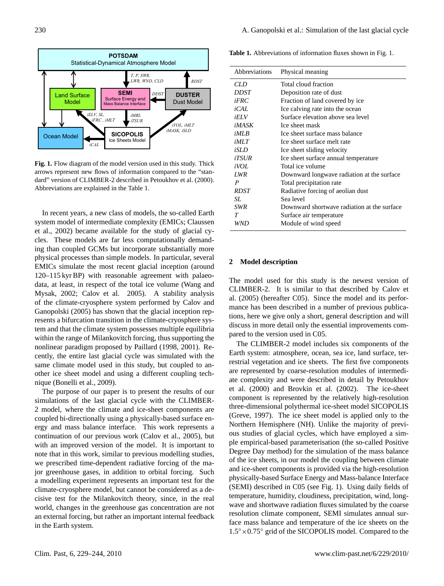

**Fig. 1.** Flow diagram of the model version used in this study. Thick arrows represent new flows of information compared to the "standard" version of CLIMBER-2 described in Petoukhov et al. (2000). Abbreviations are explained in the Table 1.

In recent years, a new class of models, the so-called Earth system model of intermediate complexity (EMICs; Claussen et al., 2002) became available for the study of glacial cycles. These models are far less computationally demanding than coupled GCMs but incorporate substantially more physical processes than simple models. In particular, several EMICs simulate the most recent glacial inception (around 120–115 kyr BP) with reasonable agreement with palaeodata, at least, in respect of the total ice volume (Wang and Mysak, 2002; Calov et al. 2005). A stability analysis of the climate-cryosphere system performed by Calov and Ganopolski (2005) has shown that the glacial inception represents a bifurcation transition in the climate-cryosphere system and that the climate system possesses multiple equilibria within the range of Milankovitch forcing, thus supporting the nonlinear paradigm proposed by Paillard (1998, 2001). Recently, the entire last glacial cycle was simulated with the same climate model used in this study, but coupled to another ice sheet model and using a different coupling technique (Bonelli et al., 2009).

The purpose of our paper is to present the results of our simulations of the last glacial cycle with the CLIMBER-2 model, where the climate and ice-sheet components are coupled bi-directionally using a physically-based surface energy and mass balance interface. This work represents a continuation of our previous work (Calov et al., 2005), but with an improved version of the model. It is important to note that in this work, similar to previous modelling studies, we prescribed time-dependent radiative forcing of the major greenhouse gases, in addition to orbital forcing. Such a modelling experiment represents an important test for the climate-cryosphere model, but cannot be considered as a decisive test for the Milankovitch theory, since, in the real world, changes in the greenhouse gas concentration are not an external forcing, but rather an important internal feedback in the Earth system.

**Table 1.** Abbreviations of information fluxes shown in Fig. 1.

| Abbreviations | Physical meaning                            |
|---------------|---------------------------------------------|
| CLD           | Total cloud fraction                        |
| DDST          | Deposition rate of dust                     |
| iFRC          | Fraction of land covered by ice             |
| iCAL          | Ice calving rate into the ocean             |
| iELV          | Surface elevation above sea level           |
| iMAXK         | Ice sheet mask                              |
| iMLB          | Ice sheet surface mass halance              |
| iMLT          | Ice sheet surface melt rate                 |
| iSLD          | Ice sheet sliding velocity                  |
| <i>iTSUR</i>  | Ice sheet surface annual temperature        |
| iVOL          | Total ice volume                            |
| <b>LWR</b>    | Downward longwave radiation at the surface  |
| P             | Total precipitation rate                    |
| <b>RDST</b>   | Radiative forcing of aeolian dust           |
| SL.           | Sea level                                   |
| <b>SWR</b>    | Downward shortwave radiation at the surface |
| Т             | Surface air temperature                     |
| WND           | Module of wind speed                        |
|               |                                             |

#### **2 Model description**

The model used for this study is the newest version of CLIMBER-2. It is similar to that described by Calov et al. (2005) (hereafter C05). Since the model and its performance has been described in a number of previous publications, here we give only a short, general description and will discuss in more detail only the essential improvements compared to the version used in C05.

The CLIMBER-2 model includes six components of the Earth system: atmosphere, ocean, sea ice, land surface, terrestrial vegetation and ice sheets. The first five components are represented by coarse-resolution modules of intermediate complexity and were described in detail by Petoukhov et al. (2000) and Brovkin et al. (2002). The ice-sheet component is represented by the relatively high-resolution three-dimensional polythermal ice-sheet model SICOPOLIS (Greve, 1997). The ice sheet model is applied only to the Northern Hemisphere (NH). Unlike the majority of previous studies of glacial cycles, which have employed a simple empirical-based parameterisation (the so-called Positive Degree Day method) for the simulation of the mass balance of the ice sheets, in our model the coupling between climate and ice-sheet components is provided via the high-resolution physically-based Surface Energy and Mass-balance Interface (SEMI) described in C05 (see Fig. 1). Using daily fields of temperature, humidity, cloudiness, precipitation, wind, longwave and shortwave radiation fluxes simulated by the coarse resolution climate component, SEMI simulates annual surface mass balance and temperature of the ice sheets on the 1.5◦×0.75◦ grid of the SICOPOLIS model. Compared to the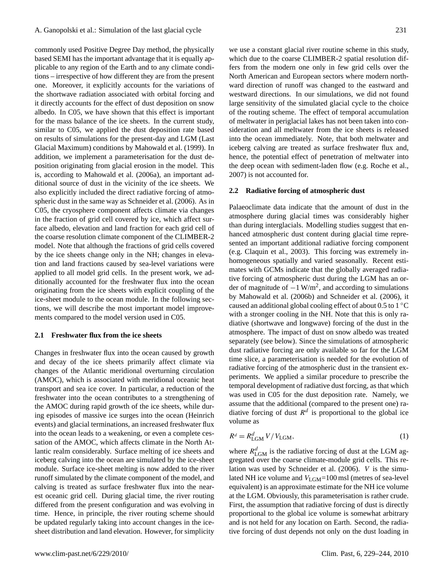commonly used Positive Degree Day method, the physically based SEMI has the important advantage that it is equally applicable to any region of the Earth and to any climate conditions – irrespective of how different they are from the present one. Moreover, it explicitly accounts for the variations of the shortwave radiation associated with orbital forcing and it directly accounts for the effect of dust deposition on snow albedo. In C05, we have shown that this effect is important for the mass balance of the ice sheets. In the current study, similar to C05, we applied the dust deposition rate based on results of simulations for the present-day and LGM (Last Glacial Maximum) conditions by Mahowald et al. (1999). In addition, we implement a parameterisation for the dust deposition originating from glacial erosion in the model. This is, according to Mahowald et al. (2006a), an important additional source of dust in the vicinity of the ice sheets. We also explicitly included the direct radiative forcing of atmospheric dust in the same way as Schneider et al. (2006). As in C05, the cryosphere component affects climate via changes in the fraction of grid cell covered by ice, which affect surface albedo, elevation and land fraction for each grid cell of the coarse resolution climate component of the CLIMBER-2 model. Note that although the fractions of grid cells covered by the ice sheets change only in the NH; changes in elevation and land fractions caused by sea-level variations were applied to all model grid cells. In the present work, we additionally accounted for the freshwater flux into the ocean originating from the ice sheets with explicit coupling of the ice-sheet module to the ocean module. In the following sections, we will describe the most important model improvements compared to the model version used in C05.

## **2.1 Freshwater flux from the ice sheets**

Changes in freshwater flux into the ocean caused by growth and decay of the ice sheets primarily affect climate via changes of the Atlantic meridional overturning circulation (AMOC), which is associated with meridional oceanic heat transport and sea ice cover. In particular, a reduction of the freshwater into the ocean contributes to a strengthening of the AMOC during rapid growth of the ice sheets, while during episodes of massive ice surges into the ocean (Heinrich events) and glacial terminations, an increased freshwater flux into the ocean leads to a weakening, or even a complete cessation of the AMOC, which affects climate in the North Atlantic realm considerably. Surface melting of ice sheets and iceberg calving into the ocean are simulated by the ice-sheet module. Surface ice-sheet melting is now added to the river runoff simulated by the climate component of the model, and calving is treated as surface freshwater flux into the nearest oceanic grid cell. During glacial time, the river routing differed from the present configuration and was evolving in time. Hence, in principle, the river routing scheme should be updated regularly taking into account changes in the icesheet distribution and land elevation. However, for simplicity

we use a constant glacial river routine scheme in this study, which due to the coarse CLIMBER-2 spatial resolution differs from the modern one only in few grid cells over the North American and European sectors where modern northward direction of runoff was changed to the eastward and westward directions. In our simulations, we did not found large sensitivity of the simulated glacial cycle to the choice of the routing scheme. The effect of temporal accumulation of meltwater in periglacial lakes has not been taken into consideration and all meltwater from the ice sheets is released into the ocean immediately. Note, that both meltwater and iceberg calving are treated as surface freshwater flux and, hence, the potential effect of penetration of meltwater into the deep ocean with sediment-laden flow (e.g. Roche et al., 2007) is not accounted for.

## **2.2 Radiative forcing of atmospheric dust**

Palaeoclimate data indicate that the amount of dust in the atmosphere during glacial times was considerably higher than during interglacials. Modelling studies suggest that enhanced atmospheric dust content during glacial time represented an important additional radiative forcing component (e.g. Claquin et al., 2003). This forcing was extremely inhomogeneous spatially and varied seasonally. Recent estimates with GCMs indicate that the globally averaged radiative forcing of atmospheric dust during the LGM has an order of magnitude of  $-1$  W/m<sup>2</sup>, and according to simulations by Mahowald et al. (2006b) and Schneider et al. (2006), it caused an additional global cooling effect of about 0.5 to 1 ◦C with a stronger cooling in the NH. Note that this is only radiative (shortwave and longwave) forcing of the dust in the atmosphere. The impact of dust on snow albedo was treated separately (see below). Since the simulations of atmospheric dust radiative forcing are only available so far for the LGM time slice, a parameterisation is needed for the evolution of radiative forcing of the atmospheric dust in the transient experiments. We applied a similar procedure to prescribe the temporal development of radiative dust forcing, as that which was used in C05 for the dust deposition rate. Namely, we assume that the additional (compared to the present one) radiative forcing of dust  $R<sup>d</sup>$  is proportional to the global ice volume as

$$
R^d = R^d_{\text{LGM}} V / V_{\text{LGM}},\tag{1}
$$

where  $R_{\text{LGM}}^d$  is the radiative forcing of dust at the LGM aggregated over the coarse climate-module grid cells. This relation was used by Schneider et al. (2006). V is the simulated NH ice volume and  $V_{\text{LGM}}$ =100 msl (metres of sea-level equivalent) is an approximate estimate for the NH ice volume at the LGM. Obviously, this parameterisation is rather crude. First, the assumption that radiative forcing of dust is directly proportional to the global ice volume is somewhat arbitrary and is not held for any location on Earth. Second, the radiative forcing of dust depends not only on the dust loading in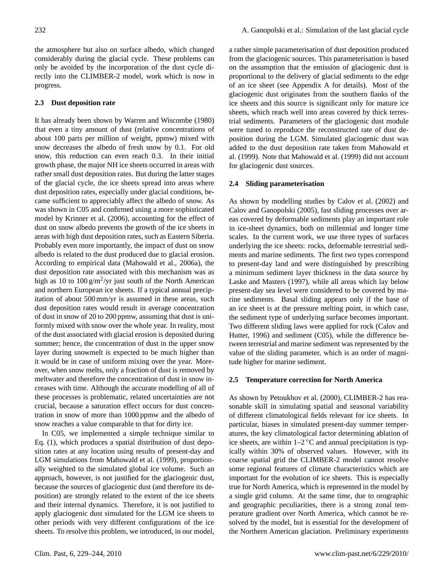the atmosphere but also on surface albedo, which changed considerably during the glacial cycle. These problems can only be avoided by the incorporation of the dust cycle directly into the CLIMBER-2 model, work which is now in progress.

## **2.3 Dust deposition rate**

It has already been shown by Warren and Wiscombe (1980) that even a tiny amount of dust (relative concentrations of about 100 parts per million of weight, ppmw) mixed with snow decreases the albedo of fresh snow by 0.1. For old snow, this reduction can even reach 0.3. In their initial growth phase, the major NH ice sheets occurred in areas with rather small dust deposition rates. But during the latter stages of the glacial cycle, the ice sheets spread into areas where dust deposition rates, especially under glacial conditions, became sufficient to appreciably affect the albedo of snow. As was shown in C05 and confirmed using a more sophisticated model by Krinner et al. (2006), accounting for the effect of dust on snow albedo prevents the growth of the ice sheets in areas with high dust deposition rates, such as Eastern Siberia. Probably even more importantly, the impact of dust on snow albedo is related to the dust produced due to glacial erosion. According to empirical data (Mahowald et al., 2006a), the dust deposition rate associated with this mechanism was as high as 10 to  $100 \frac{g}{m^2}}$ yr just south of the North American and northern European ice sheets. If a typical annual precipitation of about 500 mm/yr is assumed in these areas, such dust deposition rates would result in average concentration of dust in snow of 20 to 200 ppmw, assuming that dust is uniformly mixed with snow over the whole year. In reality, most of the dust associated with glacial erosion is deposited during summer; hence, the concentration of dust in the upper snow layer during snowmelt is expected to be much higher than it would be in case of uniform mixing over the year. Moreover, when snow melts, only a fraction of dust is removed by meltwater and therefore the concentration of dust in snow increases with time. Although the accurate modelling of all of these processes is problematic, related uncertainties are not crucial, because a saturation effect occurs for dust concentration in snow of more than 1000 ppmw and the albedo of snow reaches a value comparable to that for dirty ice.

In C05, we implemented a simple technique similar to Eq. (1), which produces a spatial distribution of dust deposition rates at any location using results of present-day and LGM simulations from Mahowald et al. (1999), proportionally weighted to the simulated global ice volume. Such an approach, however, is not justified for the glaciogenic dust, because the sources of glaciogenic dust (and therefore its deposition) are strongly related to the extent of the ice sheets and their internal dynamics. Therefore, it is not justified to apply glaciogenic dust simulated for the LGM ice sheets to other periods with very different configurations of the ice sheets. To resolve this problem, we introduced, in our model, a rather simple parameterisation of dust deposition produced from the glaciogenic sources. This parameterisation is based on the assumption that the emission of glaciogenic dust is proportional to the delivery of glacial sediments to the edge of an ice sheet (see Appendix A for details). Most of the glaciogenic dust originates from the southern flanks of the ice sheets and this source is significant only for mature ice sheets, which reach well into areas covered by thick terrestrial sediments. Parameters of the glaciogenic dust module were tuned to reproduce the reconstructed rate of dust deposition during the LGM. Simulated glaciogenic dust was added to the dust deposition rate taken from Mahowald et al. (1999). Note that Mahowald et al. (1999) did not account for glaciogenic dust sources.

## **2.4 Sliding parameterisation**

As shown by modelling studies by Calov et al. (2002) and Calov and Ganopolski (2005), fast sliding processes over areas covered by deformable sediments play an important role in ice-sheet dynamics, both on millennial and longer time scales. In the current work, we use three types of surfaces underlying the ice sheets: rocks, deformable terrestrial sediments and marine sediments. The first two types correspond to present-day land and were distinguished by prescribing a minimum sediment layer thickness in the data source by Laske and Masters (1997), while all areas which lay below present-day sea level were considered to be covered by marine sediments. Basal sliding appears only if the base of an ice sheet is at the pressure melting point, in which case, the sediment type of underlying surface becomes important. Two different sliding laws were applied for rock (Calov and Hutter, 1996) and sediment (C05), while the difference between terrestrial and marine sediment was represented by the value of the sliding parameter, which is an order of magnitude higher for marine sediment.

## **2.5 Temperature correction for North America**

As shown by Petoukhov et al. (2000), CLIMBER-2 has reasonable skill in simulating spatial and seasonal variability of different climatological fields relevant for ice sheets. In particular, biases in simulated present-day summer temperatures, the key climatological factor determining ablation of ice sheets, are within  $1-2$  °C and annual precipitation is typically within 30% of observed values. However, with its coarse spatial grid the CLIMBER-2 model cannot resolve some regional features of climate characteristics which are important for the evolution of ice sheets. This is especially true for North America, which is represented in the model by a single grid column. At the same time, due to orographic and geographic peculiarities, there is a strong zonal temperature gradient over North America, which cannot be resolved by the model, but is essential for the development of the Northern American glaciation. Preliminary experiments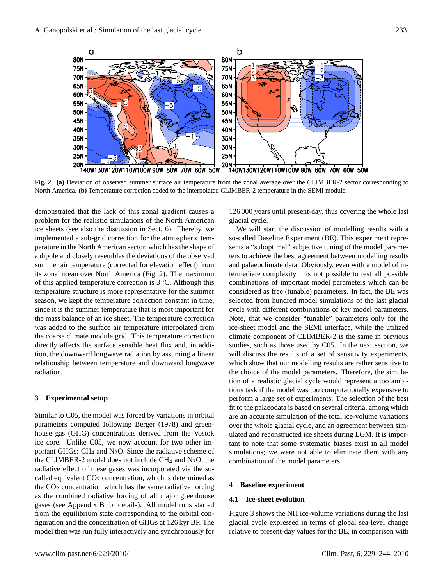

**Fig. 2. (a)** Deviation of observed summer surface air temperature from the zonal average over the CLIMBER-2 sector corresponding to North America. **(b)** Temperature correction added to the interpolated CLIMBER-2 temperature in the SEMI module.

demonstrated that the lack of this zonal gradient causes a problem for the realistic simulations of the North American ice sheets (see also the discussion in Sect. 6). Thereby, we implemented a sub-grid correction for the atmospheric temperature in the North American sector, which has the shape of a dipole and closely resembles the deviations of the observed summer air temperature (corrected for elevation effect) from its zonal mean over North America (Fig. 2). The maximum of this applied temperature correction is 3 ◦C. Although this temperature structure is more representative for the summer season, we kept the temperature correction constant in time, since it is the summer temperature that is most important for the mass balance of an ice sheet. The temperature correction was added to the surface air temperature interpolated from the coarse climate module grid. This temperature correction directly affects the surface sensible heat flux and, in addition, the downward longwave radiation by assuming a linear relationship between temperature and downward longwave radiation.

## **3 Experimental setup**

Similar to C05, the model was forced by variations in orbital parameters computed following Berger (1978) and greenhouse gas (GHG) concentrations derived from the Vostok ice core. Unlike C05, we now account for two other important GHGs:  $CH_4$  and N<sub>2</sub>O. Since the radiative scheme of the CLIMBER-2 model does not include  $CH_4$  and  $N_2O$ , the radiative effect of these gases was incorporated via the socalled equivalent  $CO<sub>2</sub>$  concentration, which is determined as the  $CO<sub>2</sub>$  concentration which has the same radiative forcing as the combined radiative forcing of all major greenhouse gases (see Appendix B for details). All model runs started from the equilibrium state corresponding to the orbital configuration and the concentration of GHGs at 126 kyr BP. The model then was run fully interactively and synchronously for

126 000 years until present-day, thus covering the whole last glacial cycle.

We will start the discussion of modelling results with a so-called Baseline Experiment (BE). This experiment represents a "suboptimal" subjective tuning of the model parameters to achieve the best agreement between modelling results and palaeoclimate data. Obviously, even with a model of intermediate complexity it is not possible to test all possible combinations of important model parameters which can be considered as free (tunable) parameters. In fact, the BE was selected from hundred model simulations of the last glacial cycle with different combinations of key model parameters. Note, that we consider "tunable" parameters only for the ice-sheet model and the SEMI interface, while the utilized climate component of CLIMBER-2 is the same in previous studies, such as those used by C05. In the next section, we will discuss the results of a set of sensitivity experiments, which show that our modelling results are rather sensitive to the choice of the model parameters. Therefore, the simulation of a realistic glacial cycle would represent a too ambitious task if the model was too computationally expensive to perform a large set of experiments. The selection of the best fit to the palaeodata is based on several criteria, among which are an accurate simulation of the total ice-volume variations over the whole glacial cycle, and an agreement between simulated and reconstructed ice sheets during LGM. It is important to note that some systematic biases exist in all model simulations; we were not able to eliminate them with any combination of the model parameters.

#### **4 Baseline experiment**

#### **4.1 Ice-sheet evolution**

Figure 3 shows the NH ice-volume variations during the last glacial cycle expressed in terms of global sea-level change relative to present-day values for the BE, in comparison with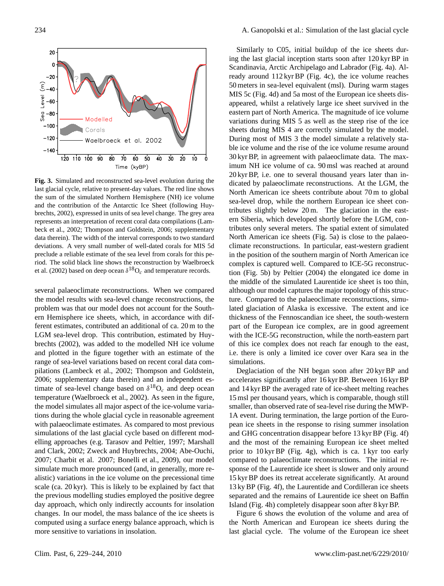

**Fig. 3.** Simulated and reconstructed sea-level evolution during the last glacial cycle, relative to present-day values. The red line shows the sum of the simulated Northern Hemisphere (NH) ice volume and the contribution of the Antarctic Ice Sheet (following Huybrechts, 2002), expressed in units of sea level change. The grey area represents an interpretation of recent coral data compilations (Lambeck et al., 2002; Thompson and Goldstein, 2006; supplementary data therein). The width of the interval corresponds to two standard deviations. A very small number of well-dated corals for MIS 5d preclude a reliable estimate of the sea level from corals for this period. The solid black line shows the reconstruction by Waelbroeck et al. (2002) based on deep ocean  $\delta^{18}O_c$  and temperature records.

several palaeoclimate reconstructions. When we compared the model results with sea-level change reconstructions, the problem was that our model does not account for the Southern Hemisphere ice sheets, which, in accordance with different estimates, contributed an additional of ca. 20 m to the LGM sea-level drop. This contribution, estimated by Huybrechts (2002), was added to the modelled NH ice volume and plotted in the figure together with an estimate of the range of sea-level variations based on recent coral data compilations (Lambeck et al., 2002; Thompson and Goldstein, 2006; supplementary data therein) and an independent estimate of sea-level change based on  $\delta^{18}O_c$  and deep ocean temperature (Waelbroeck et al., 2002). As seen in the figure, the model simulates all major aspect of the ice-volume variations during the whole glacial cycle in reasonable agreement with palaeoclimate estimates. As compared to most previous simulations of the last glacial cycle based on different modelling approaches (e.g. Tarasov and Peltier, 1997; Marshall and Clark, 2002; Zweck and Huybrechts, 2004; Abe-Ouchi, 2007; Charbit et al. 2007; Bonelli et al., 2009), our model simulate much more pronounced (and, in generally, more realistic) variations in the ice volume on the precessional time scale (ca. 20 kyr). This is likely to be explained by fact that the previous modelling studies employed the positive degree day approach, which only indirectly accounts for insolation changes. In our model, the mass balance of the ice sheets is computed using a surface energy balance approach, which is more sensitive to variations in insolation.

Similarly to C05, initial buildup of the ice sheets during the last glacial inception starts soon after 120 kyr BP in Scandinavia, Arctic Archipelago and Labrador (Fig. 4a). Already around 112 kyr BP (Fig. 4c), the ice volume reaches 50 meters in sea-level equivalent (msl). During warm stages MIS 5c (Fig. 4d) and 5a most of the European ice sheets disappeared, whilst a relatively large ice sheet survived in the eastern part of North America. The magnitude of ice volume variations during MIS 5 as well as the steep rise of the ice sheets during MIS 4 are correctly simulated by the model. During most of MIS 3 the model simulate a relatively stable ice volume and the rise of the ice volume resume around 30 kyr BP, in agreement with palaeoclimate data. The maximum NH ice volume of ca. 90 msl was reached at around 20 kyr BP, i.e. one to several thousand years later than indicated by palaeoclimate reconstructions. At the LGM, the North American ice sheets contribute about 70 m to global sea-level drop, while the northern European ice sheet contributes slightly below 20 m. The glaciation in the eastern Siberia, which developed shortly before the LGM, contributes only several meters. The spatial extent of simulated North American ice sheets (Fig. 5a) is close to the palaeoclimate reconstructions. In particular, east-western gradient in the position of the southern margin of North American ice complex is captured well. Compared to ICE-5G reconstruction (Fig. 5b) by Peltier (2004) the elongated ice dome in the middle of the simulated Laurentide ice sheet is too thin, although our model captures the major topology of this structure. Compared to the palaeoclimate reconstructions, simulated glaciation of Alaska is excessive. The extent and ice thickness of the Fennoscandian ice sheet, the south-western part of the European ice complex, are in good agreement with the ICE-5G reconstruction, while the north-eastern part of this ice complex does not reach far enough to the east, i.e. there is only a limited ice cover over Kara sea in the simulations.

Deglaciation of the NH began soon after 20 kyr BP and accelerates significantly after 16 kyr BP. Between 16 kyr BP and 14 kyr BP the averaged rate of ice-sheet melting reaches 15 msl per thousand years, which is comparable, though still smaller, than observed rate of sea-level rise during the MWP-1A event. During termination, the large portion of the European ice sheets in the response to rising summer insolation and GHG concentration disappear before 13 kyr BP (Fig. 4f) and the most of the remaining European ice sheet melted prior to 10 kyr BP (Fig. 4g), which is ca. 1 kyr too early compared to palaeoclimate reconstructions. The initial response of the Laurentide ice sheet is slower and only around 15 kyr BP does its retreat accelerate significantly. At around 13 ky BP (Fig. 4f), the Laurentide and Cordilleran ice sheets separated and the remains of Laurentide ice sheet on Baffin Island (Fig. 4h) completely disappear soon after 8 kyr BP.

Figure 6 shows the evolution of the volume and area of the North American and European ice sheets during the last glacial cycle. The volume of the European ice sheet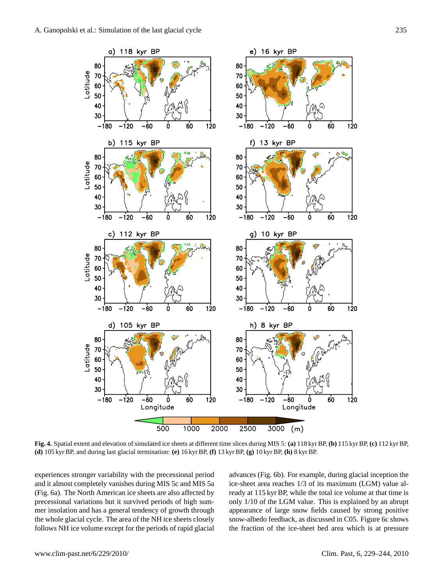

**Fig. 4.** Spatial extent and elevation of simulated ice sheets at different time slices during MIS 5: **(a)** 118 kyr BP, **(b)** 115 kyr BP, **(c)** 112 kyr BP, **(d)** 105 kyr BP, and during last glacial termination: **(e)** 16 kyr BP, **(f)** 13 kyr BP, **(g)** 10 kyr BP, **(h)** 8 kyr BP.

experiences stronger variability with the precessional period and it almost completely vanishes during MIS 5c and MIS 5a (Fig. 6a). The North American ice sheets are also affected by precessional variations but it survived periods of high summer insolation and has a general tendency of growth through the whole glacial cycle. The area of the NH ice sheets closely follows NH ice volume except for the periods of rapid glacial advances (Fig. 6b). For example, during glacial inception the ice-sheet area reaches 1/3 of its maximum (LGM) value already at 115 kyr BP, while the total ice volume at that time is only 1/10 of the LGM value. This is explained by an abrupt appearance of large snow fields caused by strong positive snow-albedo feedback, as discussed in C05. Figure 6c shows the fraction of the ice-sheet bed area which is at pressure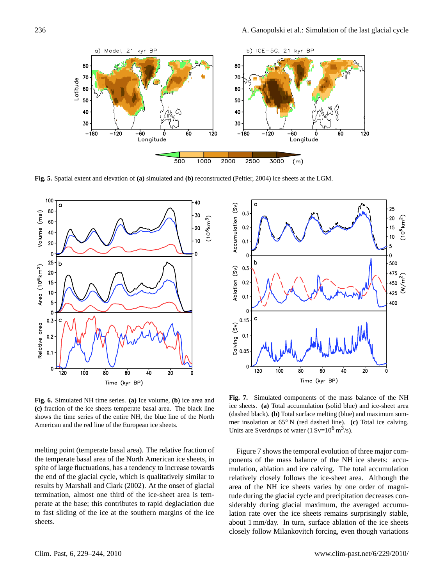

**Fig. 5.** Spatial extent and elevation of **(a)** simulated and **(b)** reconstructed (Peltier, 2004) ice sheets at the LGM.



**Fig. 6.** Simulated NH time series. **(a)** Ice volume, **(b)** ice area and **(c)** fraction of the ice sheets temperate basal area. The black line shows the time series of the entire NH, the blue line of the North American and the red line of the European ice sheets.

melting point (temperate basal area). The relative fraction of the temperate basal area of the North American ice sheets, in spite of large fluctuations, has a tendency to increase towards the end of the glacial cycle, which is qualitatively similar to results by Marshall and Clark (2002). At the onset of glacial termination, almost one third of the ice-sheet area is temperate at the base; this contributes to rapid deglaciation due to fast sliding of the ice at the southern margins of the ice sheets.



**Fig. 7.** Simulated components of the mass balance of the NH ice sheets. **(a)** Total accumulation (solid blue) and ice-sheet area (dashed black). **(b)** Total surface melting (blue) and maximum summer insolation at 65◦ N (red dashed line). **(c)** Total ice calving. Units are Sverdrups of water  $(1 Sv=10^6 \text{ m}^3/\text{s})$ .

Figure 7 shows the temporal evolution of three major components of the mass balance of the NH ice sheets: accumulation, ablation and ice calving. The total accumulation relatively closely follows the ice-sheet area. Although the area of the NH ice sheets varies by one order of magnitude during the glacial cycle and precipitation decreases considerably during glacial maximum, the averaged accumulation rate over the ice sheets remains surprisingly stable, about 1 mm/day. In turn, surface ablation of the ice sheets closely follow Milankovitch forcing, even though variations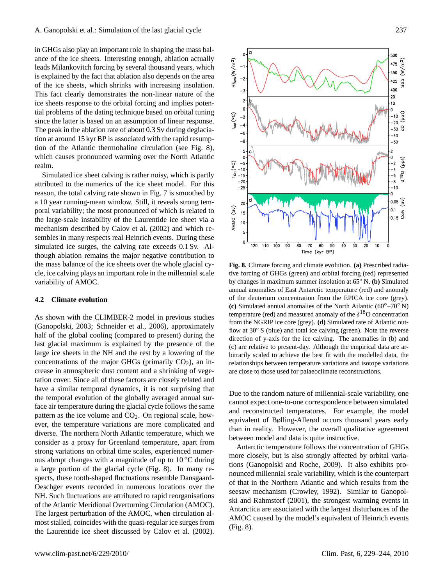in GHGs also play an important role in shaping the mass balance of the ice sheets. Interesting enough, ablation actually leads Milankovitch forcing by several thousand years, which is explained by the fact that ablation also depends on the area of the ice sheets, which shrinks with increasing insolation. This fact clearly demonstrates the non-linear nature of the ice sheets response to the orbital forcing and implies potential problems of the dating technique based on orbital tuning since the latter is based on an assumption of linear response. The peak in the ablation rate of about 0.3 Sv during deglaciation at around 15 kyr BP is associated with the rapid resumption of the Atlantic thermohaline circulation (see Fig. 8), which causes pronounced warming over the North Atlantic realm.

Simulated ice sheet calving is rather noisy, which is partly attributed to the numerics of the ice sheet model. For this reason, the total calving rate shown in Fig. 7 is smoothed by a 10 year running-mean window. Still, it reveals strong temporal variability; the most pronounced of which is related to the large-scale instability of the Laurentide ice sheet via a mechanism described by Calov et al. (2002) and which resembles in many respects real Heinrich events. During these simulated ice surges, the calving rate exceeds 0.1 Sv. Although ablation remains the major negative contribution to the mass balance of the ice sheets over the whole glacial cycle, ice calving plays an important role in the millennial scale variability of AMOC.

## **4.2 Climate evolution**

As shown with the CLIMBER-2 model in previous studies (Ganopolski, 2003; Schneider et al., 2006), approximately half of the global cooling (compared to present) during the last glacial maximum is explained by the presence of the large ice sheets in the NH and the rest by a lowering of the concentrations of the major GHGs (primarily  $CO<sub>2</sub>$ ), an increase in atmospheric dust content and a shrinking of vegetation cover. Since all of these factors are closely related and have a similar temporal dynamics, it is not surprising that the temporal evolution of the globally averaged annual surface air temperature during the glacial cycle follows the same pattern as the ice volume and  $CO<sub>2</sub>$ . On regional scale, however, the temperature variations are more complicated and diverse. The northern North Atlantic temperature, which we consider as a proxy for Greenland temperature, apart from strong variations on orbital time scales, experienced numerous abrupt changes with a magnitude of up to  $10^{\circ}$ C during a large portion of the glacial cycle (Fig. 8). In many respects, these tooth-shaped fluctuations resemble Dansgaard-Oeschger events recorded in numerous locations over the NH. Such fluctuations are attributed to rapid reorganisations of the Atlantic Meridional Overturning Circulation (AMOC). The largest perturbation of the AMOC, when circulation almost stalled, coincides with the quasi-regular ice surges from the Laurentide ice sheet discussed by Calov et al. (2002).



**Fig. 8.** Climate forcing and climate evolution. **(a)** Prescribed radiative forcing of GHGs (green) and orbital forcing (red) represented by changes in maximum summer insolation at 65◦ N. **(b)** Simulated annual anomalies of East Antarctic temperature (red) and anomaly of the deuterium concentration from the EPICA ice core (grey). **(c)** Simulated annual anomalies of the North Atlantic (60◦–70◦ N) temperature (red) and measured anomaly of the  $\delta^{18}$ O concentration from the NGRIP ice core (grey). **(d)** Simulated rate of Atlantic outflow at 30◦ S (blue) and total ice calving (green). Note the reverse direction of y-axis for the ice calving. The anomalies in (b) and (c) are relative to present-day. Although the empirical data are arbitrarily scaled to achieve the best fit with the modelled data, the relationships between temperature variations and isotope variations are close to those used for palaeoclimate reconstructions.

Due to the random nature of millennial-scale variability, one cannot expect one-to-one correspondence between simulated and reconstructed temperatures. For example, the model equivalent of Bølling-Allerød occurs thousand years early than in reality. However, the overall qualitative agreement between model and data is quite instructive.

Antarctic temperature follows the concentration of GHGs more closely, but is also strongly affected by orbital variations (Ganopolski and Roche, 2009). It also exhibits pronounced millennial scale variability, which is the counterpart of that in the Northern Atlantic and which results from the seesaw mechanism (Crowley, 1992). Similar to Ganopolski and Rahmstorf (2001), the strongest warming events in Antarctica are associated with the largest disturbances of the AMOC caused by the model's equivalent of Heinrich events (Fig. 8).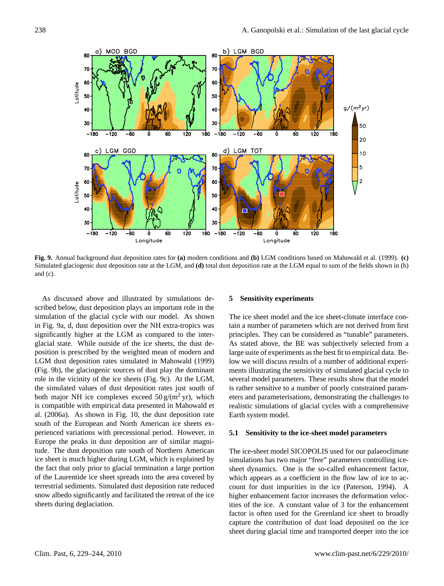

**Fig. 9.** Annual background dust deposition rates for **(a)** modern conditions and **(b)** LGM conditions based on Mahowald et al. (1999). **(c)** Simulated glaciogenic dust deposition rate at the LGM, and **(d)** total dust deposition rate at the LGM equal to sum of the fields shown in (b) and (c).

As discussed above and illustrated by simulations described below, dust deposition plays an important role in the simulation of the glacial cycle with our model. As shown in Fig. 9a, d, dust deposition over the NH extra-tropics was significantly higher at the LGM as compared to the interglacial state. While outside of the ice sheets, the dust deposition is prescribed by the weighted mean of modern and LGM dust deposition rates simulated in Mahowald (1999) (Fig. 9b), the glaciogenic sources of dust play the dominant role in the vicinity of the ice sheets (Fig. 9c). At the LGM, the simulated values of dust deposition rates just south of both major NH ice complexes exceed  $50 \text{ g/(m}^2 \text{ yr})$ , which is compatible with empirical data presented in Mahowald et al. (2006a). As shown in Fig. 10, the dust deposition rate south of the European and North American ice sheets experienced variations with precessional period. However, in Europe the peaks in dust deposition are of similar magnitude. The dust deposition rate south of Northern American ice sheet is much higher during LGM, which is explained by the fact that only prior to glacial termination a large portion of the Laurentide ice sheet spreads into the area covered by terrestrial sediments. Simulated dust deposition rate reduced snow albedo significantly and facilitated the retreat of the ice sheets during deglaciation.

## **5 Sensitivity experiments**

The ice sheet model and the ice sheet-climate interface contain a number of parameters which are not derived from first principles. They can be considered as "tunable" parameters. As stated above, the BE was subjectively selected from a large suite of experiments as the best fit to empirical data. Below we will discuss results of a number of additional experiments illustrating the sensitivity of simulated glacial cycle to several model parameters. These results show that the model is rather sensitive to a number of poorly constrained parameters and parameterisations, demonstrating the challenges to realistic simulations of glacial cycles with a comprehensive Earth system model.

### **5.1 Sensitivity to the ice-sheet model parameters**

The ice-sheet model SICOPOLIS used for our palaeoclimate simulations has two major "free" parameters controlling icesheet dynamics. One is the so-called enhancement factor, which appears as a coefficient in the flow law of ice to account for dust impurities in the ice (Paterson, 1994). A higher enhancement factor increases the deformation velocities of the ice. A constant value of 3 for the enhancement factor is often used for the Greenland ice sheet to broadly capture the contribution of dust load deposited on the ice sheet during glacial time and transported deeper into the ice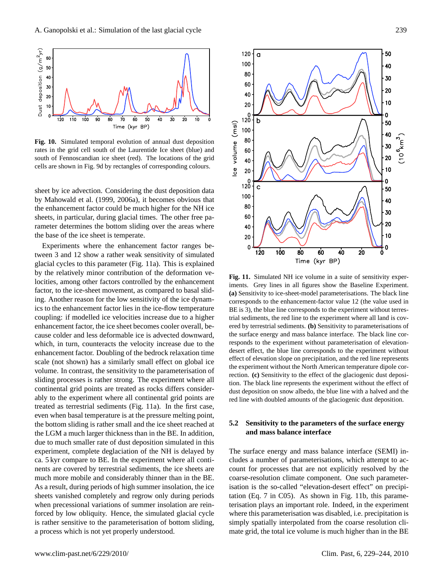

**Fig. 10.** Simulated temporal evolution of annual dust deposition rates in the grid cell south of the Laurentide Ice sheet (blue) and south of Fennoscandian ice sheet (red). The locations of the grid cells are shown in Fig. 9d by rectangles of corresponding colours.

sheet by ice advection. Considering the dust deposition data by Mahowald et al. (1999, 2006a), it becomes obvious that the enhancement factor could be much higher for the NH ice sheets, in particular, during glacial times. The other free parameter determines the bottom sliding over the areas where the base of the ice sheet is temperate.

Experiments where the enhancement factor ranges between 3 and 12 show a rather weak sensitivity of simulated glacial cycles to this parameter (Fig. 11a). This is explained by the relatively minor contribution of the deformation velocities, among other factors controlled by the enhancement factor, to the ice-sheet movement, as compared to basal sliding. Another reason for the low sensitivity of the ice dynamics to the enhancement factor lies in the ice-flow temperature coupling: if modelled ice velocities increase due to a higher enhancement factor, the ice sheet becomes cooler overall, because colder and less deformable ice is advected downward, which, in turn, counteracts the velocity increase due to the enhancement factor. Doubling of the bedrock relaxation time scale (not shown) has a similarly small effect on global ice volume. In contrast, the sensitivity to the parameterisation of sliding processes is rather strong. The experiment where all continental grid points are treated as rocks differs considerably to the experiment where all continental grid points are treated as terrestrial sediments (Fig. 11a). In the first case, even when basal temperature is at the pressure melting point, the bottom sliding is rather small and the ice sheet reached at the LGM a much larger thickness than in the BE. In addition, due to much smaller rate of dust deposition simulated in this experiment, complete deglaciation of the NH is delayed by ca. 5 kyr compare to BE. In the experiment where all continents are covered by terrestrial sediments, the ice sheets are much more mobile and considerably thinner than in the BE. As a result, during periods of high summer insolation, the ice sheets vanished completely and regrow only during periods when precessional variations of summer insolation are reinforced by low obliquity. Hence, the simulated glacial cycle is rather sensitive to the parameterisation of bottom sliding, a process which is not yet properly understood.



**Fig. 11.** Simulated NH ice volume in a suite of sensitivity experiments. Grey lines in all figures show the Baseline Experiment. **(a)** Sensitivity to ice-sheet-model parameterisations. The black line corresponds to the enhancement-factor value 12 (the value used in BE is 3), the blue line corresponds to the experiment without terrestrial sediments, the red line to the experiment where all land is covered by terrestrial sediments. **(b)** Sensitivity to parameterisations of the surface energy and mass balance interface. The black line corresponds to the experiment without parameterisation of elevationdesert effect, the blue line corresponds to the experiment without effect of elevation slope on precipitation, and the red line represents the experiment without the North American temperature dipole correction. **(c)** Sensitivity to the effect of the glaciogenic dust deposition. The black line represents the experiment without the effect of dust deposition on snow albedo, the blue line with a halved and the red line with doubled amounts of the glaciogenic dust deposition.

## **5.2 Sensitivity to the parameters of the surface energy and mass balance interface**

The surface energy and mass balance interface (SEMI) includes a number of parameterisations, which attempt to account for processes that are not explicitly resolved by the coarse-resolution climate component. One such parameterisation is the so-called "elevation-desert effect" on precipitation (Eq. 7 in C05). As shown in Fig. 11b, this parameterisation plays an important role. Indeed, in the experiment where this parameterisation was disabled, i.e. precipitation is simply spatially interpolated from the coarse resolution climate grid, the total ice volume is much higher than in the BE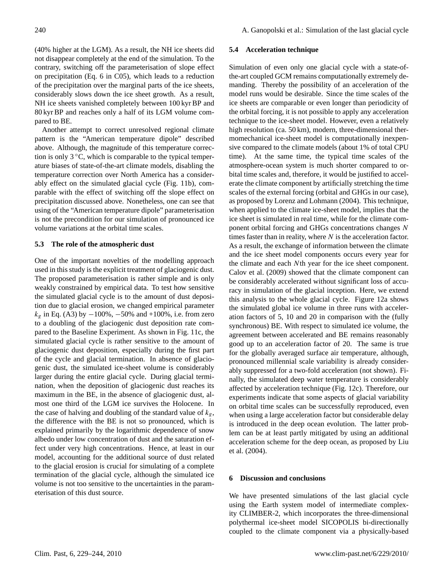(40% higher at the LGM). As a result, the NH ice sheets did not disappear completely at the end of the simulation. To the contrary, switching off the parameterisation of slope effect on precipitation (Eq. 6 in C05), which leads to a reduction of the precipitation over the marginal parts of the ice sheets, considerably slows down the ice sheet growth. As a result, NH ice sheets vanished completely between 100 kyr BP and 80 kyr BP and reaches only a half of its LGM volume compared to BE.

Another attempt to correct unresolved regional climate pattern is the "American temperature dipole" described above. Although, the magnitude of this temperature correction is only  $3 °C$ , which is comparable to the typical temperature biases of state-of-the-art climate models, disabling the temperature correction over North America has a considerably effect on the simulated glacial cycle (Fig. 11b), comparable with the effect of switching off the slope effect on precipitation discussed above. Nonetheless, one can see that using of the "American temperature dipole" parameterisation is not the precondition for our simulation of pronounced ice volume variations at the orbital time scales.

## **5.3 The role of the atmospheric dust**

One of the important novelties of the modelling approach used in this study is the explicit treatment of glaciogenic dust. The proposed parameterisation is rather simple and is only weakly constrained by empirical data. To test how sensitive the simulated glacial cycle is to the amount of dust deposition due to glacial erosion, we changed empirical parameter  $k_g$  in Eq. (A3) by  $-100\%$ ,  $-50\%$  and  $+100\%$ , i.e. from zero to a doubling of the glaciogenic dust deposition rate compared to the Baseline Experiment. As shown in Fig. 11c, the simulated glacial cycle is rather sensitive to the amount of glaciogenic dust deposition, especially during the first part of the cycle and glacial termination. In absence of glaciogenic dust, the simulated ice-sheet volume is considerably larger during the entire glacial cycle. During glacial termination, when the deposition of glaciogenic dust reaches its maximum in the BE, in the absence of glaciogenic dust, almost one third of the LGM ice survives the Holocene. In the case of halving and doubling of the standard value of  $k_g$ , the difference with the BE is not so pronounced, which is explained primarily by the logarithmic dependence of snow albedo under low concentration of dust and the saturation effect under very high concentrations. Hence, at least in our model, accounting for the additional source of dust related to the glacial erosion is crucial for simulating of a complete termination of the glacial cycle, although the simulated ice volume is not too sensitive to the uncertainties in the parameterisation of this dust source.

#### **5.4 Acceleration technique**

Simulation of even only one glacial cycle with a state-ofthe-art coupled GCM remains computationally extremely demanding. Thereby the possibility of an acceleration of the model runs would be desirable. Since the time scales of the ice sheets are comparable or even longer than periodicity of the orbital forcing, it is not possible to apply any acceleration technique to the ice-sheet model. However, even a relatively high resolution (ca. 50 km), modern, three-dimensional thermomechanical ice-sheet model is computationally inexpensive compared to the climate models (about 1% of total CPU time). At the same time, the typical time scales of the atmosphere-ocean system is much shorter compared to orbital time scales and, therefore, it would be justified to accelerate the climate component by artificially stretching the time scales of the external forcing (orbital and GHGs in our case), as proposed by Lorenz and Lohmann (2004). This technique, when applied to the climate ice-sheet model, implies that the ice sheet is simulated in real time, while for the climate component orbital forcing and GHGs concentrations changes N times faster than in reality, where  $N$  is the acceleration factor. As a result, the exchange of information between the climate and the ice sheet model components occurs every year for the climate and each Nth year for the ice sheet component. Calov et al. (2009) showed that the climate component can be considerably accelerated without significant loss of accuracy in simulation of the glacial inception. Here, we extend this analysis to the whole glacial cycle. Figure 12a shows the simulated global ice volume in three runs with acceleration factors of 5, 10 and 20 in comparison with the (fully synchronous) BE. With respect to simulated ice volume, the agreement between accelerated and BE remains reasonably good up to an acceleration factor of 20. The same is true for the globally averaged surface air temperature, although, pronounced millennial scale variability is already considerably suppressed for a two-fold acceleration (not shown). Finally, the simulated deep water temperature is considerably affected by acceleration technique (Fig. 12c). Therefore, our experiments indicate that some aspects of glacial variability on orbital time scales can be successfully reproduced, even when using a large acceleration factor but considerable delay is introduced in the deep ocean evolution. The latter problem can be at least partly mitigated by using an additional acceleration scheme for the deep ocean, as proposed by Liu et al. (2004).

## **6 Discussion and conclusions**

We have presented simulations of the last glacial cycle using the Earth system model of intermediate complexity CLIMBER-2, which incorporates the three-dimensional polythermal ice-sheet model SICOPOLIS bi-directionally coupled to the climate component via a physically-based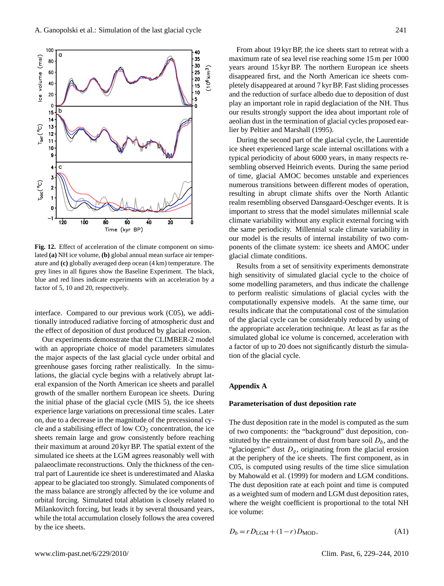**Fig. 12.** Effect of acceleration of the climate component on simulated **(a)** NH ice volume, **(b)** global annual mean surface air temperature and **(c)** globally averaged deep ocean (4 km) temperature. The grey lines in all figures show the Baseline Experiment. The black, blue and red lines indicate experiments with an acceleration by a factor of 5, 10 and 20, respectively.

interface. Compared to our previous work (C05), we additionally introduced radiative forcing of atmospheric dust and the effect of deposition of dust produced by glacial erosion.

Our experiments demonstrate that the CLIMBER-2 model with an appropriate choice of model parameters simulates the major aspects of the last glacial cycle under orbital and greenhouse gases forcing rather realistically. In the simulations, the glacial cycle begins with a relatively abrupt lateral expansion of the North American ice sheets and parallel growth of the smaller northern European ice sheets. During the initial phase of the glacial cycle (MIS 5), the ice sheets experience large variations on precessional time scales. Later on, due to a decrease in the magnitude of the precessional cycle and a stabilising effect of low  $CO<sub>2</sub>$  concentration, the ice sheets remain large and grow consistently before reaching their maximum at around 20 kyr BP. The spatial extent of the simulated ice sheets at the LGM agrees reasonably well with palaeoclimate reconstructions. Only the thickness of the central part of Laurentide ice sheet is underestimated and Alaska appear to be glaciated too strongly. Simulated components of the mass balance are strongly affected by the ice volume and orbital forcing. Simulated total ablation is closely related to Milankovitch forcing, but leads it by several thousand years, while the total accumulation closely follows the area covered by the ice sheets.

From about 19 kyr BP, the ice sheets start to retreat with a maximum rate of sea level rise reaching some 15 m per 1000 years around 15 kyr BP. The northern European ice sheets disappeared first, and the North American ice sheets completely disappeared at around 7 kyr BP. Fast sliding processes and the reduction of surface albedo due to deposition of dust play an important role in rapid deglaciation of the NH. Thus our results strongly support the idea about important role of aeolian dust in the termination of glacial cycles proposed earlier by Peltier and Marshall (1995).

During the second part of the glacial cycle, the Laurentide ice sheet experienced large scale internal oscillations with a typical periodicity of about 6000 years, in many respects resembling observed Heinrich events. During the same period of time, glacial AMOC becomes unstable and experiences numerous transitions between different modes of operation, resulting in abrupt climate shifts over the North Atlantic realm resembling observed Dansgaard-Oeschger events. It is important to stress that the model simulates millennial scale climate variability without any explicit external forcing with the same periodicity. Millennial scale climate variability in our model is the results of internal instability of two components of the climate system: ice sheets and AMOC under glacial climate conditions.

Results from a set of sensitivity experiments demonstrate high sensitivity of simulated glacial cycle to the choice of some modelling parameters, and thus indicate the challenge to perform realistic simulations of glacial cycles with the computationally expensive models. At the same time, our results indicate that the computational cost of the simulation of the glacial cycle can be considerably reduced by using of the appropriate acceleration technique. At least as far as the simulated global ice volume is concerned, acceleration with a factor of up to 20 does not significantly disturb the simulation of the glacial cycle.

## **Appendix A**

#### **Parameterisation of dust deposition rate**

The dust deposition rate in the model is computed as the sum of two components: the "background" dust deposition, constituted by the entrainment of dust from bare soil  $D_b$ , and the "glaciogenic" dust  $D_g$ , originating from the glacial erosion at the periphery of the ice sheets. The first component, as in C05, is computed using results of the time slice simulation by Mahowald et al. (1999) for modern and LGM conditions. The dust deposition rate at each point and time is computed as a weighted sum of modern and LGM dust deposition rates, where the weight coefficient is proportional to the total NH ice volume:

 $D_b = r D_{\text{LGM}} + (1 - r) D_{\text{MOD}},$  (A1)

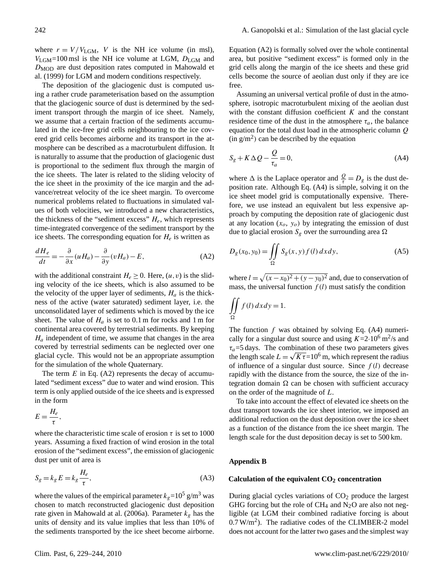The deposition of the glaciogenic dust is computed using a rather crude parameterisation based on the assumption that the glaciogenic source of dust is determined by the sediment transport through the margin of ice sheet. Namely, we assume that a certain fraction of the sediments accumulated in the ice-free grid cells neighbouring to the ice covered grid cells becomes airborne and its transport in the atmosphere can be described as a macroturbulent diffusion. It is naturally to assume that the production of glaciogenic dust is proportional to the sediment flux through the margin of the ice sheets. The later is related to the sliding velocity of the ice sheet in the proximity of the ice margin and the advance/retreat velocity of the ice sheet margin. To overcome numerical problems related to fluctuations in simulated values of both velocities, we introduced a new characteristics, the thickness of the "sediment excess"  $H_e$ , which represents time-integrated convergence of the sediment transport by the ice sheets. The corresponding equation for  $H_e$  is written as

$$
\frac{dH_e}{dt} = -\frac{\partial}{\partial x}(uH_a) - \frac{\partial}{\partial y}(vH_a) - E,\tag{A2}
$$

with the additional constraint  $H_e \geq 0$ . Here,  $(u, v)$  is the sliding velocity of the ice sheets, which is also assumed to be the velocity of the upper layer of sediments,  $H_a$  is the thickness of the active (water saturated) sediment layer, i.e. the unconsolidated layer of sediments which is moved by the ice sheet. The value of  $H_a$  is set to 0.1 m for rocks and 1 m for continental area covered by terrestrial sediments. By keeping  $H_a$  independent of time, we assume that changes in the area covered by terrestrial sediments can be neglected over one glacial cycle. This would not be an appropriate assumption for the simulation of the whole Quaternary.

The term  $E$  in Eq. (A2) represents the decay of accumulated "sediment excess" due to water and wind erosion. This term is only applied outside of the ice sheets and is expressed in the form

$$
E=\frac{H_e}{\tau},
$$

where the characteristic time scale of erosion  $\tau$  is set to 1000 years. Assuming a fixed fraction of wind erosion in the total erosion of the "sediment excess", the emission of glaciogenic dust per unit of area is

$$
S_g = k_g E = k_g \frac{H_e}{\tau},\tag{A3}
$$

where the values of the empirical parameter  $k_g$ =10<sup>5</sup> g/m<sup>3</sup> was chosen to match reconstructed glaciogenic dust deposition rate given in Mahowald at al. (2006a). Parameter  $k_g$  has the units of density and its value implies that less than 10% of the sediments transported by the ice sheet become airborne. Equation (A2) is formally solved over the whole continental area, but positive "sediment excess" is formed only in the grid cells along the margin of the ice sheets and these grid cells become the source of aeolian dust only if they are ice free.

Assuming an universal vertical profile of dust in the atmosphere, isotropic macroturbulent mixing of the aeolian dust with the constant diffusion coefficient  $K$  and the constant residence time of the dust in the atmosphere  $\tau_a$ , the balance equation for the total dust load in the atmospheric column Q  $(in g/m<sup>2</sup>)$  can be described by the equation

$$
S_g + K \Delta Q - \frac{Q}{\tau_a} = 0,\tag{A4}
$$

where  $\Delta$  is the Laplace operator and  $\frac{Q}{\tau} = D_g$  is the dust deposition rate. Although Eq. (A4) is simple, solving it on the ice sheet model grid is computationally expensive. Therefore, we use instead an equivalent but less expensive approach by computing the deposition rate of glaciogenic dust at any location  $(x_o, y_o)$  by integrating the emission of dust due to glacial erosion  $S_g$  over the surrounding area  $\Omega$ 

$$
D_g(x_0, y_0) = \iint_{\Omega} S_g(x, y) f(l) dx dy,
$$
 (A5)

where  $l = \sqrt{(x-x_0)^2 + (y-y_0)^2}$  and, due to conservation of mass, the universal function  $f(l)$  must satisfy the condition

$$
\iint\limits_{\Omega} f(l) \, dx \, dy = 1.
$$

The function  $f$  was obtained by solving Eq. (A4) numerically for a singular dust source and using  $K=2.10^6$  m<sup>2</sup>/s and  $\tau_a$ =5 days. The combination of these two parameters gives the length scale  $L = \sqrt{K \tau} = 10^6$  m, which represent the radius of influence of a singular dust source. Since  $f(l)$  decrease rapidly with the distance from the source, the size of the integration domain  $\Omega$  can be chosen with sufficient accuracy on the order of the magnitude of L.

To take into account the effect of elevated ice sheets on the dust transport towards the ice sheet interior, we imposed an additional reduction on the dust deposition over the ice sheet as a function of the distance from the ice sheet margin. The length scale for the dust deposition decay is set to 500 km.

## **Appendix B**

#### **Calculation of the equivalent CO<sup>2</sup> concentration**

During glacial cycles variations of  $CO<sub>2</sub>$  produce the largest GHG forcing but the role of  $CH_4$  and  $N_2O$  are also not negligible (at LGM their combined radiative forcing is about  $0.7 \text{ W/m}^2$ ). The radiative codes of the CLIMBER-2 model does not account for the latter two gases and the simplest way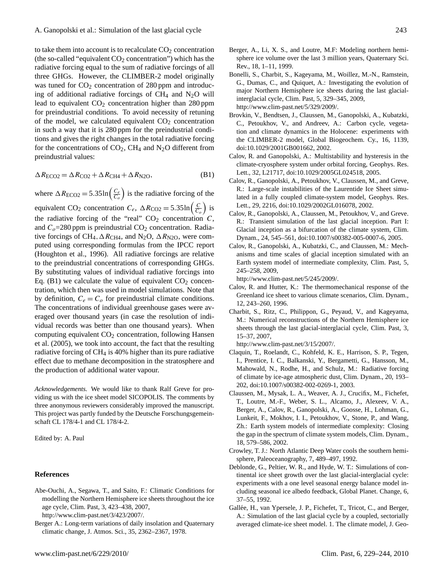to take them into account is to recalculate  $CO<sub>2</sub>$  concentration (the so-called "equivalent  $CO<sub>2</sub>$  concentration") which has the radiative forcing equal to the sum of radiative forcings of all three GHGs. However, the CLIMBER-2 model originally was tuned for  $CO<sub>2</sub>$  concentration of 280 ppm and introducing of additional radiative forcings of  $CH<sub>4</sub>$  and  $N<sub>2</sub>O$  will lead to equivalent  $CO<sub>2</sub>$  concentration higher than 280 ppm for preindustrial conditions. To avoid necessity of retuning of the model, we calculated equivalent  $CO<sub>2</sub>$  concentration in such a way that it is 280 ppm for the preindustrial conditions and gives the right changes in the total radiative forcing for the concentrations of  $CO_2$ , CH<sub>4</sub> and N<sub>2</sub>O different from preindustrial values:

$$
\Delta R_{\text{ECO2}} = \Delta R_{\text{CO2}} + \Delta R_{\text{CH4}} + \Delta R_{\text{N2O}},\tag{B1}
$$

where  $\Delta R_{\text{ECO2}} = 5.35 \ln \left( \frac{C_e}{C_o} \right)$  is the radiative forcing of the

equivalent CO<sub>2</sub> concentration  $C_e$ ,  $\Delta R_{\text{CO2}} = 5.35 \text{ln} \left( \frac{C}{C_o} \right)$  is the radiative forcing of the "real"  $CO<sub>2</sub>$  concentration  $C$ , and  $C<sub>o</sub>=280$  ppm is preindustrial CO<sub>2</sub> concentration. Radiative forcings of CH<sub>4</sub>,  $\Delta R_{CH4}$ , and N<sub>2</sub>O,  $\Delta R_{N2O}$ , were computed using corresponding formulas from the IPCC report (Houghton et al., 1996). All radiative forcings are relative to the preindustrial concentrations of corresponding GHGs. By substituting values of individual radiative forcings into Eq. (B1) we calculate the value of equivalent  $CO<sub>2</sub>$  concentration, which then was used in model simulations. Note that by definition,  $C_e = C_o$  for preindustrial climate conditions. The concentrations of individual greenhouse gases were averaged over thousand years (in case the resolution of individual records was better than one thousand years). When computing equivalent  $CO<sub>2</sub>$  concentration, following Hansen et al. (2005), we took into account, the fact that the resulting radiative forcing of CH<sup>4</sup> is 40% higher than its pure radiative effect due to methane decomposition in the stratosphere and the production of additional water vapour.

*Acknowledgements.* We would like to thank Ralf Greve for providing us with the ice sheet model SICOPOLIS. The comments by three anonymous reviewers considerably improved the manuscript. This project was partly funded by the Deutsche Forschungsgemeinschaft CL 178/4-1 and CL 178/4-2.

Edited by: A. Paul

## **References**

Abe-Ouchi, A., Segawa, T., and Saito, F.: Climatic Conditions for modelling the Northern Hemisphere ice sheets throughout the ice age cycle, Clim. Past, 3, 423–438, 2007,

[http://www.clim-past.net/3/423/2007/.](http://www.clim-past.net/3/423/2007/)

Berger A.: Long-term variations of daily insolation and Quaternary climatic change, J. Atmos. Sci., 35, 2362–2367, 1978.

- Berger, A., Li, X. S., and Loutre, M.F: Modeling northern hemisphere ice volume over the last 3 million years, Quaternary Sci. Rev., 18, 1–11, 1999.
- Bonelli, S., Charbit, S., Kageyama, M., Woillez, M.-N., Ramstein, G., Dumas, C., and Quiquet, A.: Investigating the evolution of major Northern Hemisphere ice sheets during the last glacialinterglacial cycle, Clim. Past, 5, 329–345, 2009, [http://www.clim-past.net/5/329/2009/.](http://www.clim-past.net/5/329/2009/)
- Brovkin, V., Bendtsen, J., Claussen, M., Ganopolski, A., Kubatzki, C., Petoukhov, V., and Andreev, A.: Carbon cycle, vegetation and climate dynamics in the Holocene: experiments with the CLIMBER-2 model, Global Biogeochem. Cy., 16, 1139, doi:10.1029/2001GB001662, 2002.
- Calov, R. and Ganopolski, A.: Multistability and hysteresis in the climate-cryosphere system under orbital forcing, Geophys. Res. Lett., 32, L21717, doi:10.1029/2005GL024518, 2005.
- Calov, R., Ganopolski, A., Petoukhov, V., Claussen, M., and Greve, R.: Large-scale instabilities of the Laurentide Ice Sheet simulated in a fully coupled climate-system model, Geophys. Res. Lett., 29, 2216, doi:10.1029/2002GL016078, 2002.
- Calov, R., Ganopolski, A., Claussen, M., Petoukhov, V., and Greve. R.: Transient simulation of the last glacial inception. Part I: Glacial inception as a bifurcation of the climate system, Clim. Dynam., 24, 545–561, doi:10.1007/s00382-005-0007-6, 2005.
- Calov, R., Ganopolski, A., Kubatzki, C., and Claussen, M.: Mechanisms and time scales of glacial inception simulated with an Earth system model of intermediate complexity, Clim. Past, 5, 245–258, 2009,

[http://www.clim-past.net/5/245/2009/.](http://www.clim-past.net/5/245/2009/)

- Calov, R. and Hutter, K.: The thermomechanical response of the Greenland ice sheet to various climate scenarios, Clim. Dynam., 12, 243–260, 1996.
- Charbit, S., Ritz, C., Philippon, G., Peyaud, V., and Kageyama, M.: Numerical reconstructions of the Northern Hemisphere ice sheets through the last glacial-interglacial cycle, Clim. Past, 3, 15–37, 2007,

[http://www.clim-past.net/3/15/2007/.](http://www.clim-past.net/3/15/2007/)

- Claquin, T., Roelandt, C., Kohfeld, K. E., Harrison, S. P., Tegen, I., Prentice, I. C., Balkanski, Y., Bergametti, G., Hansson, M., Mahowald, N., Rodhe, H., and Schulz, M.: Radiative forcing of climate by ice-age atmospheric dust, Clim. Dynam., 20, 193– 202, doi:10.1007/s00382-002-0269-1, 2003.
- Claussen, M., Mysak, L. A., Weaver, A. J., Crucifix, M., Fichefet, T., Loutre, M.-F., Weber, S. L., Alcamo, J., Alexeev, V. A., Berger, A., Calov, R., Ganopolski, A., Goosse, H., Lohman, G., Lunkeit, F., Mokhov, I. I., Petoukhov, V., Stone, P., and Wang, Zh.: Earth system models of intermediate complexity: Closing the gap in the spectrum of climate system models, Clim. Dynam., 18, 579–586, 2002.
- Crowley, T. J.: North Atlantic Deep Water cools the southern hemisphere, Paleoceanography, 7, 489–497, 1992.
- Deblonde, G., Peltier, W. R., and Hyde, W. T.: Simulations of continental ice sheet growth over the last glacial-interglacial cycle: experiments with a one level seasonal energy balance model including seasonal ice albedo feedback, Global Planet. Change, 6, 37–55, 1992.
- Gallée, H., van Ypersele, J. P., Fichefet, T., Tricot, C., and Berger, A.: Simulation of the last glacial cycle by a coupled, sectorially averaged climate-ice sheet model. 1. The climate model, J. Geo-